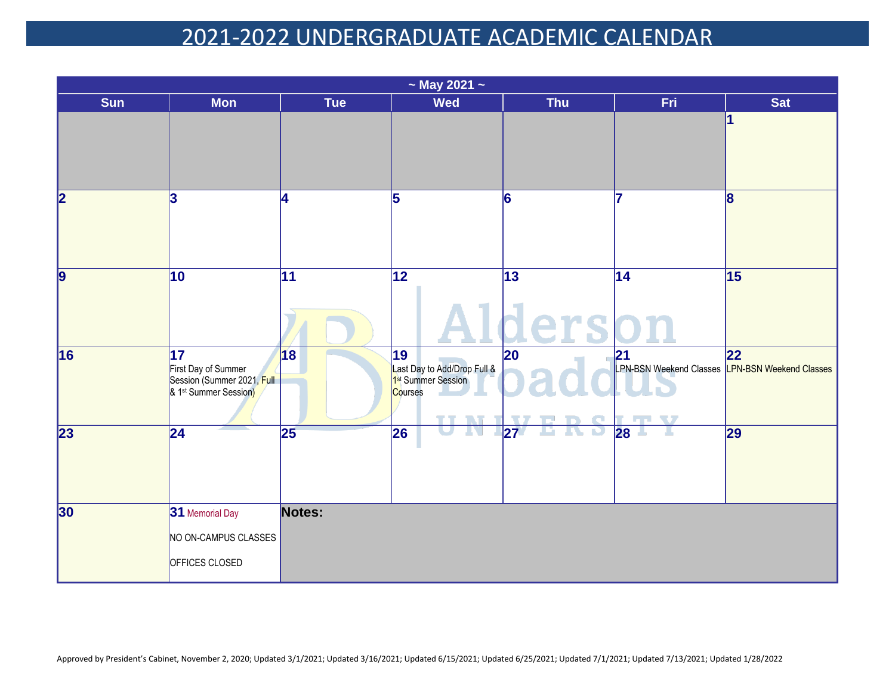| $\sim$ May 2021 $\sim$  |                                                                                                           |                 |                                                                                                         |                      |                                                                                    |                 |  |  |
|-------------------------|-----------------------------------------------------------------------------------------------------------|-----------------|---------------------------------------------------------------------------------------------------------|----------------------|------------------------------------------------------------------------------------|-----------------|--|--|
| <b>Sun</b>              | <b>Mon</b>                                                                                                | <b>Tue</b>      | <b>Wed</b>                                                                                              | <b>Thu</b>           | Fri.                                                                               | <b>Sat</b>      |  |  |
|                         |                                                                                                           |                 |                                                                                                         |                      |                                                                                    | 1               |  |  |
| $\overline{\mathbf{2}}$ | 3                                                                                                         | 4               | $\overline{5}$                                                                                          | 6                    |                                                                                    | 8               |  |  |
| $\overline{9}$          | $\overline{10}$                                                                                           | $\overline{11}$ | $\overline{12}$                                                                                         | $\overline{13}$<br>e | $\overline{14}$                                                                    | $\overline{15}$ |  |  |
| 16                      | $\overline{17}$<br>First Day of Summer<br>Session (Summer 2021, Full<br>& 1 <sup>st</sup> Summer Session) | 18              | $\overline{19}$<br>Last Day to Add/Drop Full &<br>1st Summer Session<br>Courses<br><b>TANK</b><br>T. VT | $ 20\rangle$         | 21<br>LPN-BSN Weekend Classes LPN-BSN Weekend Classes<br><b>TV</b><br><b>COLOR</b> | 22              |  |  |
| $\overline{23}$         | $\overline{24}$                                                                                           | 25              | 26                                                                                                      | 27<br>u.             | 28                                                                                 | 29              |  |  |
| 30                      | 31 Memorial Day<br>NO ON-CAMPUS CLASSES                                                                   | Notes:          |                                                                                                         |                      |                                                                                    |                 |  |  |
|                         | OFFICES CLOSED                                                                                            |                 |                                                                                                         |                      |                                                                                    |                 |  |  |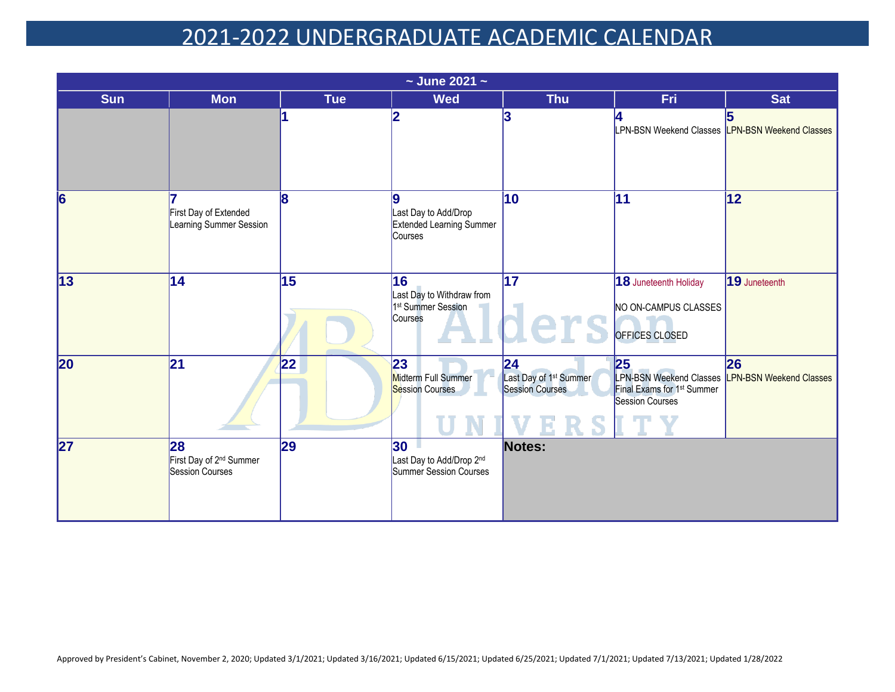|                          |                                                              |                 | $\sim$ June 2021 $\sim$                                                      |                                                                    |                                                                                                                           |               |
|--------------------------|--------------------------------------------------------------|-----------------|------------------------------------------------------------------------------|--------------------------------------------------------------------|---------------------------------------------------------------------------------------------------------------------------|---------------|
| <b>Sun</b>               | <b>Mon</b>                                                   | <b>Tue</b>      | <b>Wed</b>                                                                   | <b>Thu</b>                                                         | Fri.                                                                                                                      | <b>Sat</b>    |
|                          |                                                              |                 | 2                                                                            |                                                                    | LPN-BSN Weekend Classes LPN-BSN Weekend Classes                                                                           |               |
| $\overline{6}$           | First Day of Extended<br>Learning Summer Session             | 8               | 9<br>Last Day to Add/Drop<br><b>Extended Learning Summer</b><br>Courses      | $\overline{10}$                                                    | 11                                                                                                                        | 12            |
| $\overline{13}$          | 14                                                           | $\overline{15}$ | 16<br>Last Day to Withdraw from<br>1 <sup>st</sup> Summer Session<br>Courses | $\overline{17}$<br>ers                                             | 18 Juneteenth Holiday<br>NO ON-CAMPUS CLASSES<br>OFFICES CLOSED                                                           | 19 Juneteenth |
| 20                       | 21                                                           | 22              | 23<br>Midterm Full Summer<br>Session Courses                                 | 24<br>Last Day of 1 <sup>st</sup> Summer<br><b>Session Courses</b> | 25<br>LPN-BSN Weekend Classes LPN-BSN Weekend Classes<br>Final Exams for 1 <sup>st</sup> Summer<br><b>Session Courses</b> | 26            |
| $\overline{\mathbf{27}}$ | 28<br>First Day of 2 <sup>nd</sup> Summer<br>Session Courses | 29              | 30<br>Last Day to Add/Drop 2nd<br>Summer Session Courses                     | Notes:                                                             |                                                                                                                           |               |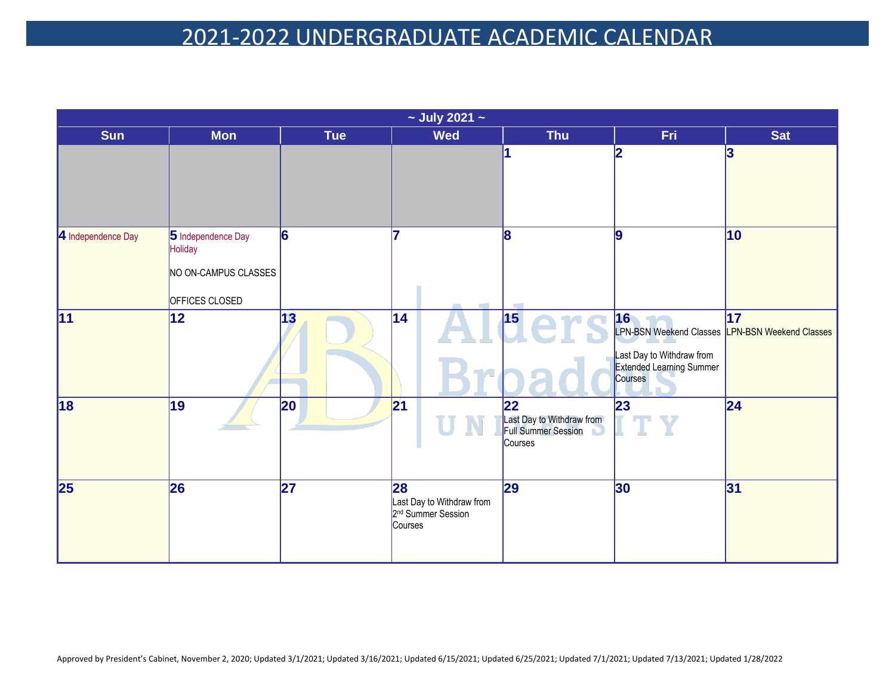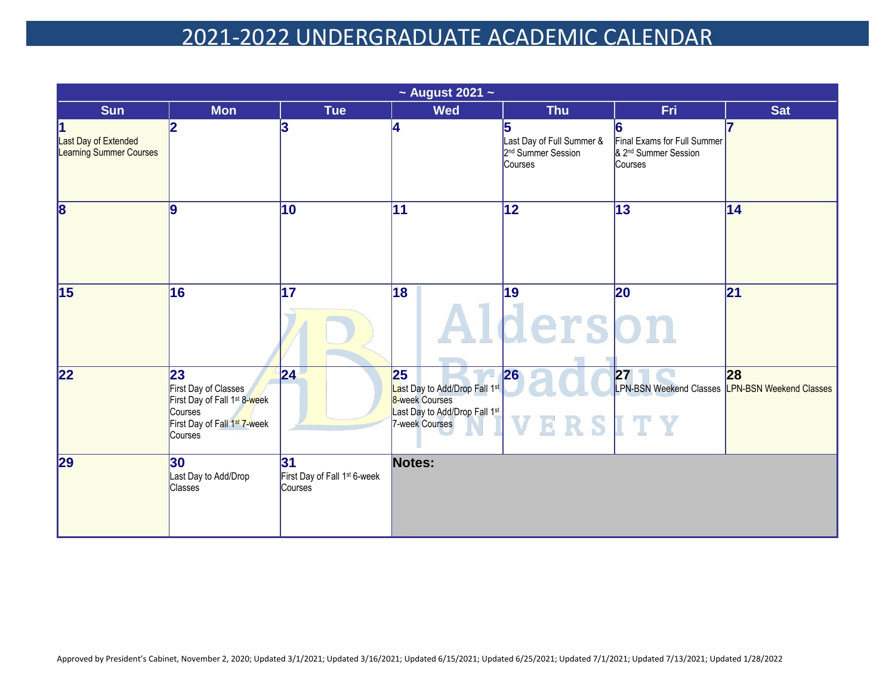|                                                             | $\sim$ August 2021 $\sim$                                                                                                                |                                                           |                                                                                                                      |                                                                        |                                                                            |            |  |  |
|-------------------------------------------------------------|------------------------------------------------------------------------------------------------------------------------------------------|-----------------------------------------------------------|----------------------------------------------------------------------------------------------------------------------|------------------------------------------------------------------------|----------------------------------------------------------------------------|------------|--|--|
| <b>Sun</b>                                                  | <b>Mon</b>                                                                                                                               | <b>Tue</b>                                                | <b>Wed</b>                                                                                                           | <b>Thu</b>                                                             | Fri                                                                        | <b>Sat</b> |  |  |
| 1<br>Last Day of Extended<br><b>Learning Summer Courses</b> | 2                                                                                                                                        | 13                                                        | 4                                                                                                                    | Last Day of Full Summer &<br>2 <sup>nd</sup> Summer Session<br>Courses | Final Exams for Full Summer<br>& 2 <sup>nd</sup> Summer Session<br>Courses |            |  |  |
| $\overline{\mathbf{8}}$                                     | 9                                                                                                                                        | 10                                                        | 11                                                                                                                   | $ 12\rangle$                                                           | 13                                                                         | 14         |  |  |
| $\overline{15}$                                             | 16                                                                                                                                       | 17                                                        | 18                                                                                                                   | 19<br>derson                                                           | 20                                                                         | 21         |  |  |
| 22                                                          | 23<br>First Day of Classes<br>First Day of Fall 1 <sup>st</sup> 8-week<br>Courses<br>First Day of Fall 1 <sup>st</sup> 7-week<br>Courses | 24                                                        | 25<br>Last Day to Add/Drop Fall 1st<br>8-week Courses<br>Last Day to Add/Drop Fall 1 <sup>st</sup><br>7-week Courses | 26<br>VERSITY                                                          | 27 <br>LPN-BSN Weekend Classes LPN-BSN Weekend Classes                     | 28         |  |  |
| 29                                                          | 30 <br>Last Day to Add/Drop<br><b>Classes</b>                                                                                            | 31<br>First Day of Fall 1 <sup>st</sup> 6-week<br>Courses | Notes:                                                                                                               |                                                                        |                                                                            |            |  |  |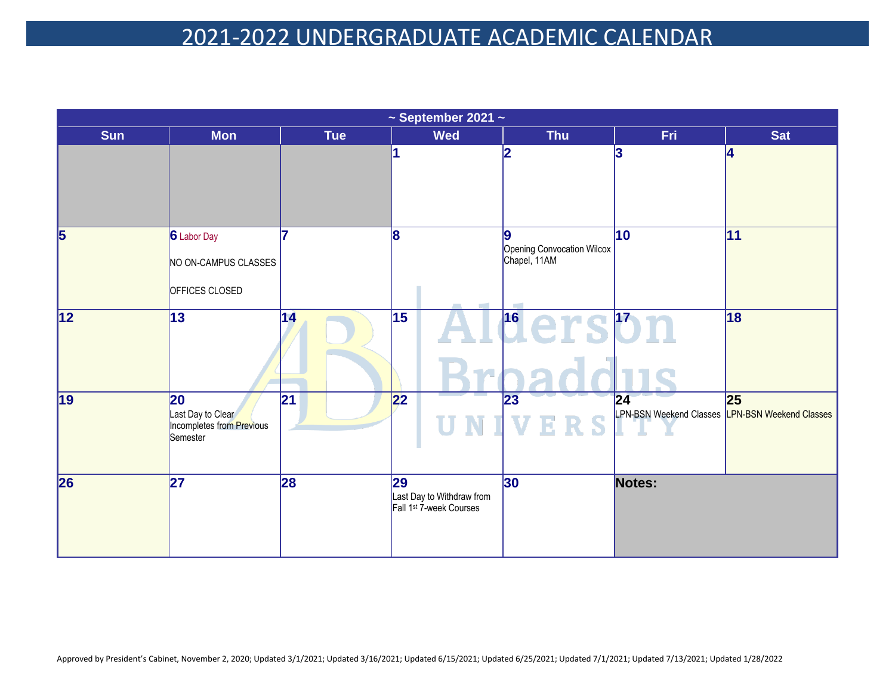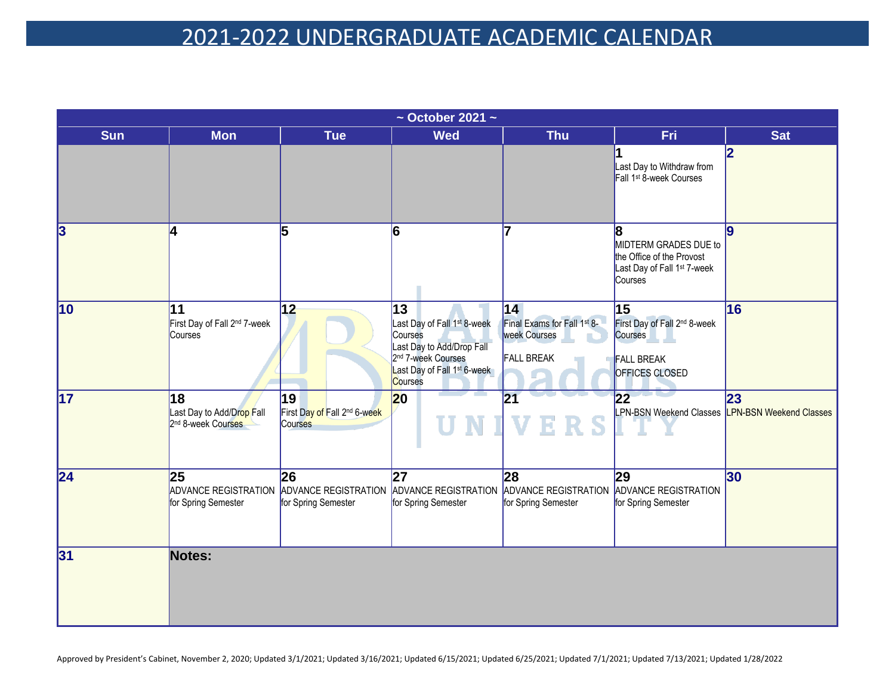| $\sim$ October 2021 $\sim$ |                                                                                             |                                               |                                                                                                                                                                               |                                                                         |                                                                                                                |            |  |  |
|----------------------------|---------------------------------------------------------------------------------------------|-----------------------------------------------|-------------------------------------------------------------------------------------------------------------------------------------------------------------------------------|-------------------------------------------------------------------------|----------------------------------------------------------------------------------------------------------------|------------|--|--|
| <b>Sun</b>                 | <b>Mon</b>                                                                                  | <b>Tue</b>                                    | <b>Wed</b>                                                                                                                                                                    | <b>Thu</b>                                                              | <b>Fri</b>                                                                                                     | <b>Sat</b> |  |  |
|                            |                                                                                             |                                               |                                                                                                                                                                               |                                                                         | Last Day to Withdraw from<br>Fall 1 <sup>st</sup> 8-week Courses                                               | 2          |  |  |
| 3                          | 4                                                                                           | 5                                             | 6                                                                                                                                                                             |                                                                         | 8<br>MIDTERM GRADES DUE to<br>the Office of the Provost<br>Last Day of Fall 1 <sup>st</sup> 7-week<br>Courses  | <u>lg</u>  |  |  |
| $\overline{10}$            | 11<br>First Day of Fall 2 <sup>nd</sup> 7-week<br>Courses                                   | 12                                            | 13<br>Last Day of Fall 1 <sup>st</sup> 8-week<br>Courses<br>Last Day to Add/Drop Fall<br>2 <sup>nd</sup> 7-week Courses<br>Last Day of Fall 1 <sup>st</sup> 6-week<br>Courses | 14 <br>Final Exams for Fall 1st 8-<br>week Courses<br><b>FALL BREAK</b> | 15<br>First Day of Fall 2 <sup>nd</sup> 8-week<br><b>Courses</b><br><b>FALL BREAK</b><br><b>OFFICES CLOSED</b> | 16         |  |  |
| $\overline{17}$            | 18<br>Last Day to Add/Drop Fall<br>2nd 8-week Courses                                       | 19<br>First Day of Fall 2nd 6-week<br>Courses | $ 20\rangle$                                                                                                                                                                  | $\overline{21}$                                                         | $\overline{22}$<br>LPN-BSN Weekend Classes LPN-BSN Weekend Classes                                             | 23         |  |  |
| $\overline{24}$            | 25<br>ADVANCE REGISTRATION ADVANCE REGISTRATION ADVANCE REGISTRATION<br>for Spring Semester | 26<br>for Spring Semester                     | 27<br>for Spring Semester                                                                                                                                                     | 28<br>ADVANCE REGISTRATION<br>for Spring Semester                       | 29<br>ADVANCE REGISTRATION<br>for Spring Semester                                                              | 30         |  |  |
| 31                         | Notes:                                                                                      |                                               |                                                                                                                                                                               |                                                                         |                                                                                                                |            |  |  |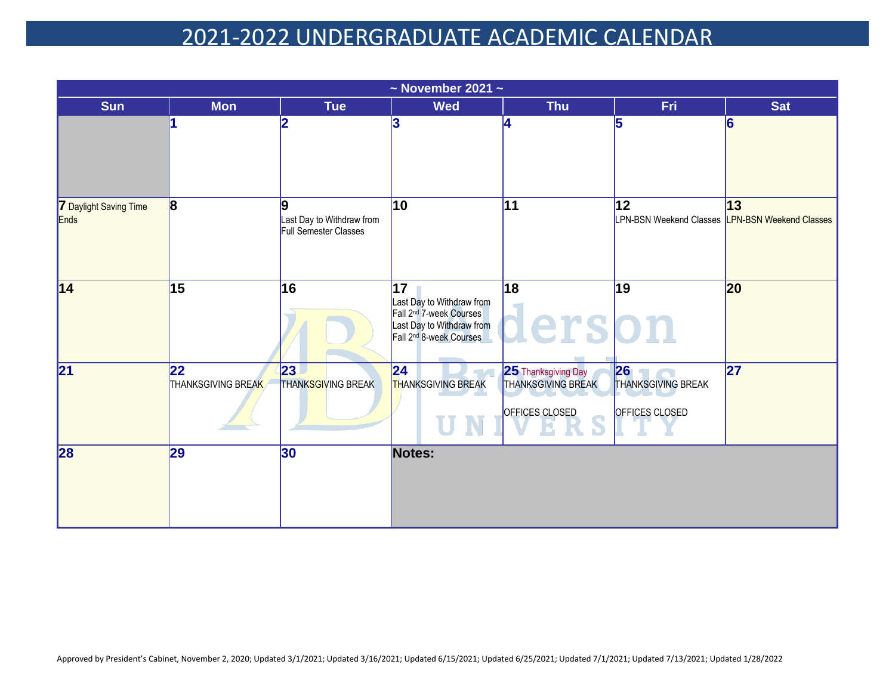|                                |                           |                                                         | $\sim$ November 2021 $\sim$                                                                                                                |                                                             |                                                       |            |
|--------------------------------|---------------------------|---------------------------------------------------------|--------------------------------------------------------------------------------------------------------------------------------------------|-------------------------------------------------------------|-------------------------------------------------------|------------|
| <b>Sun</b>                     | <b>Mon</b>                | <b>Tue</b>                                              | <b>Wed</b>                                                                                                                                 | <b>Thu</b>                                                  | Fri                                                   | <b>Sat</b> |
|                                |                           |                                                         | 3                                                                                                                                          |                                                             | l5                                                    | 6          |
| 7 Daylight Saving Time<br>Ends | 8                         | g<br>Last Day to Withdraw from<br>Full Semester Classes | 10                                                                                                                                         | 11                                                          | 12<br>LPN-BSN Weekend Classes LPN-BSN Weekend Classes | 13         |
| 14                             | 15                        | 16                                                      | 17<br>Last Day to Withdraw from<br>Fall 2 <sup>nd</sup> 7-week Courses<br>Last Day to Withdraw from<br>Fall 2 <sup>nd</sup> 8-week Courses | 18<br>erson                                                 | 19                                                    | 20         |
| 21                             | 22 <br>THANKSGIVING BREAK | 23<br><b>THANKSGIVING BREAK</b>                         | 24 <br><b>THANKSGIVING BREAK</b>                                                                                                           | 25 Thanksgiving Day<br>THANKSGIVING BREAK<br>OFFICES CLOSED | 26<br><b>THANKSGIVING BREAK</b><br>OFFICES CLOSED     | 27         |
| 28                             | 29                        | 30                                                      | Notes:                                                                                                                                     |                                                             |                                                       |            |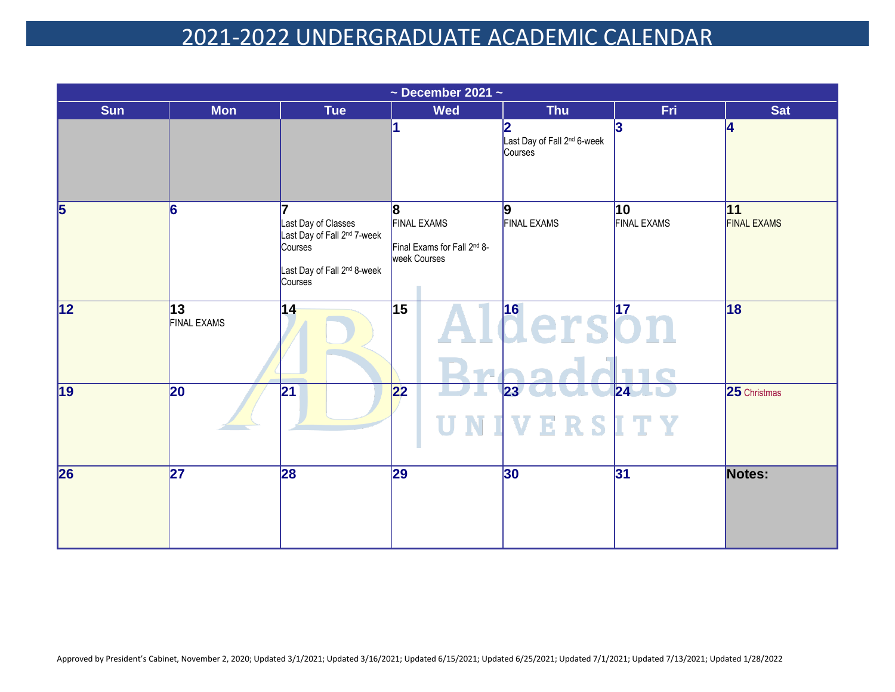| $\sim$ December 2021 $\sim$ |                           |                                                                                                                                 |                                                                         |                                                         |                          |                          |  |  |
|-----------------------------|---------------------------|---------------------------------------------------------------------------------------------------------------------------------|-------------------------------------------------------------------------|---------------------------------------------------------|--------------------------|--------------------------|--|--|
| <b>Sun</b>                  | <b>Mon</b>                | <b>Tue</b>                                                                                                                      | <b>Wed</b>                                                              | <b>Thu</b>                                              | Fri.                     | <b>Sat</b>               |  |  |
|                             |                           |                                                                                                                                 |                                                                         | 2<br>Last Day of Fall 2 <sup>nd</sup> 6-week<br>Courses | 3                        | <b>A</b>                 |  |  |
| $\overline{\mathbf{5}}$     | 6                         | Last Day of Classes<br>Last Day of Fall 2 <sup>nd</sup> 7-week<br>Courses<br>Last Day of Fall 2 <sup>nd</sup> 8-week<br>Courses | 8 <br><b>FINAL EXAMS</b><br>Final Exams for Fall 2nd 8-<br>week Courses | 9<br><b>FINAL EXAMS</b>                                 | 10<br><b>FINAL EXAMS</b> | 11<br><b>FINAL EXAMS</b> |  |  |
| $\overline{12}$             | 13 <br><b>FINAL EXAMS</b> | 14                                                                                                                              | $\overline{15}$<br>TA.                                                  | l <sup>16</sup> erson                                   |                          | 18                       |  |  |
| 19                          | 20                        | 21                                                                                                                              | 22                                                                      | $ 23\rangle$<br>ERSITY<br>V                             | $ 24\rangle$             | 25 Christmas             |  |  |
| 26                          | $\overline{27}$           | 28                                                                                                                              | 29                                                                      | 30                                                      | 31                       | Notes:                   |  |  |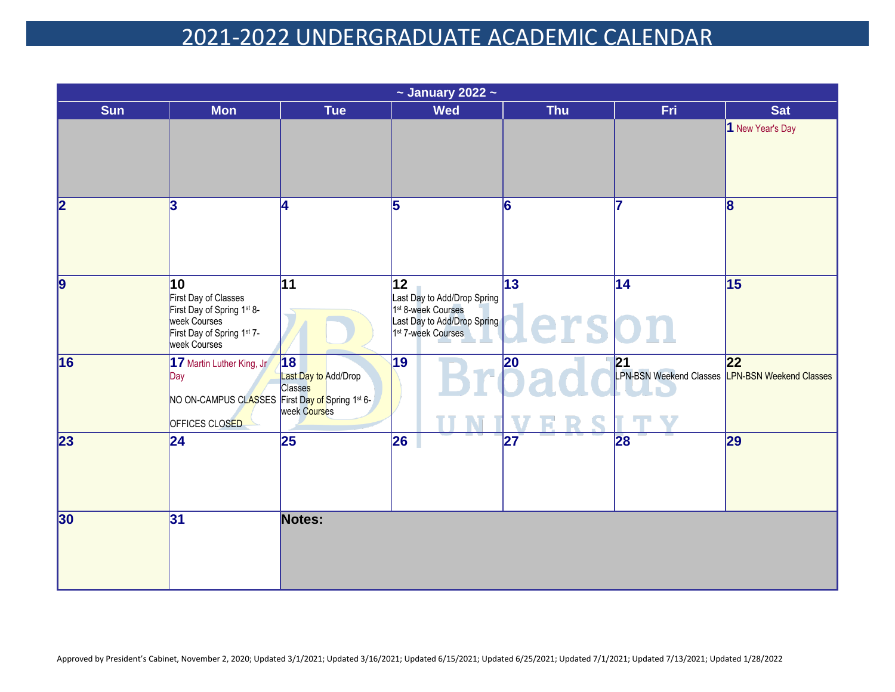| $\sim$ January 2022 $\sim$ |                                                                                                                        |                                                       |                                                                                                                                                   |                          |                                                       |                  |  |  |
|----------------------------|------------------------------------------------------------------------------------------------------------------------|-------------------------------------------------------|---------------------------------------------------------------------------------------------------------------------------------------------------|--------------------------|-------------------------------------------------------|------------------|--|--|
| <b>Sun</b>                 | <b>Mon</b>                                                                                                             | <b>Tue</b>                                            | <b>Wed</b>                                                                                                                                        | <b>Thu</b>               | Fri.                                                  | <b>Sat</b>       |  |  |
|                            |                                                                                                                        |                                                       |                                                                                                                                                   |                          |                                                       | 1 New Year's Day |  |  |
| $\overline{\mathbf{2}}$    | 3                                                                                                                      | Ι4                                                    | 5                                                                                                                                                 | 6                        |                                                       | 8                |  |  |
| $\overline{9}$             | 10<br>First Day of Classes<br>First Day of Spring 1st 8-<br>week Courses<br>First Day of Spring 1st 7-<br>week Courses | $\overline{11}$                                       | $\overline{12}$<br>Last Day to Add/Drop Spring<br>1 <sup>st</sup> 8-week Courses<br>Last Day to Add/Drop Spring<br>1 <sup>st</sup> 7-week Courses | $\overline{13}$<br>erson | $\overline{14}$                                       | 15               |  |  |
| 16                         | 17 Martin Luther King, Jr<br>Day<br>NO ON-CAMPUS CLASSES First Day of Spring 1st 6-<br><b>OFFICES CLOSED</b>           | 18<br>Last Day to Add/Drop<br>Classes<br>week Courses | 19                                                                                                                                                | 20                       | 21<br>LPN-BSN Weekend Classes LPN-BSN Weekend Classes | 22               |  |  |
| 23                         | 24                                                                                                                     | 25                                                    | 26                                                                                                                                                | 27                       | 28                                                    | 29               |  |  |
| 30                         | 31                                                                                                                     | Notes:                                                |                                                                                                                                                   |                          |                                                       |                  |  |  |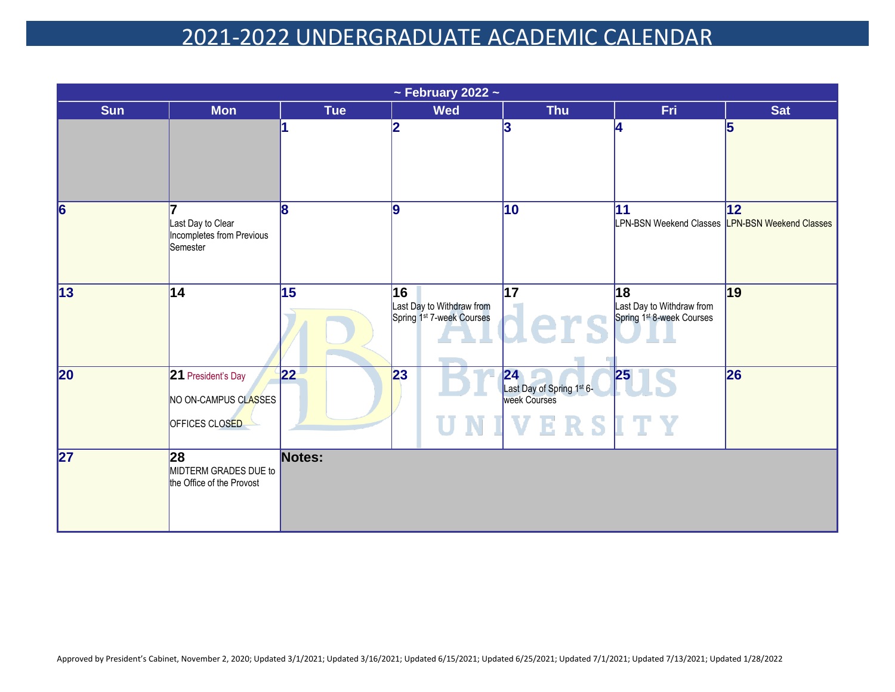| $\sim$ February 2022 $\sim$ |                                                                     |                 |                                                                          |                                                                                |                                                                          |                                                         |  |  |
|-----------------------------|---------------------------------------------------------------------|-----------------|--------------------------------------------------------------------------|--------------------------------------------------------------------------------|--------------------------------------------------------------------------|---------------------------------------------------------|--|--|
| <b>Sun</b>                  | <b>Mon</b>                                                          | <b>Tue</b>      | <b>Wed</b>                                                               | <b>Thu</b>                                                                     | Fri.                                                                     | <b>Sat</b>                                              |  |  |
|                             |                                                                     |                 | 2                                                                        | 3                                                                              | 14                                                                       |                                                         |  |  |
| $\overline{6}$              | 7<br>Last Day to Clear<br>Incompletes from Previous<br>Semester     | $\overline{8}$  | 9                                                                        | $\overline{10}$                                                                | 11                                                                       | 12 <br>LPN-BSN Weekend Classes  LPN-BSN Weekend Classes |  |  |
| $\overline{13}$             | $\overline{14}$                                                     | $\overline{15}$ | 16<br>Last Day to Withdraw from<br>Spring 1 <sup>st</sup> 7-week Courses | 17<br>lers                                                                     | 18<br>Last Day to Withdraw from<br>Spring 1 <sup>st</sup> 8-week Courses | $\overline{19}$                                         |  |  |
| 20                          | 21 President's Day<br>NO ON-CAMPUS CLASSES<br><b>OFFICES CLOSED</b> | 22              | 23                                                                       | 24<br>Last Day of Spring 1 <sup>st</sup> 6-<br>week Courses<br><b>IVERSITY</b> | 25                                                                       | 26                                                      |  |  |
| $\overline{27}$             | 28<br>MIDTERM GRADES DUE to<br>the Office of the Provost            | Notes:          |                                                                          |                                                                                |                                                                          |                                                         |  |  |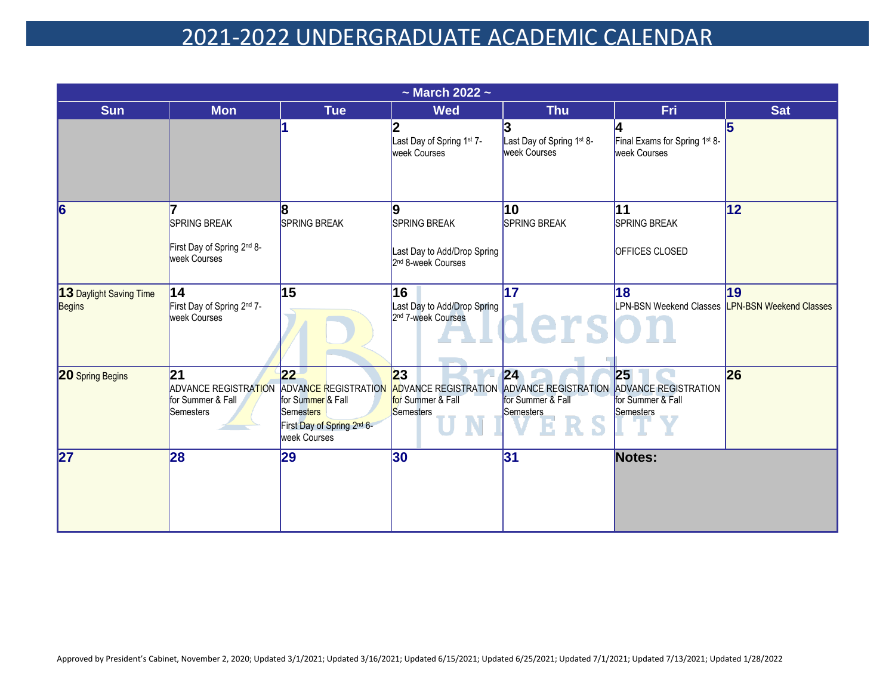| $\sim$ March 2022 $\sim$          |                                                                                   |                                                                                            |                                                                                    |                                                                            |                                                                     |            |  |  |
|-----------------------------------|-----------------------------------------------------------------------------------|--------------------------------------------------------------------------------------------|------------------------------------------------------------------------------------|----------------------------------------------------------------------------|---------------------------------------------------------------------|------------|--|--|
| <b>Sun</b>                        | <b>Mon</b>                                                                        | <b>Tue</b>                                                                                 | <b>Wed</b>                                                                         | <b>Thu</b>                                                                 | Fri                                                                 | <b>Sat</b> |  |  |
|                                   |                                                                                   |                                                                                            | 2<br>Last Day of Spring 1st 7-<br>week Courses                                     | Last Day of Spring 1st 8-<br>week Courses                                  | Final Exams for Spring 1st 8-<br><b>week Courses</b>                | 5          |  |  |
| 6                                 | <b>SPRING BREAK</b><br>First Day of Spring 2nd 8-<br>week Courses                 | 8<br><b>SPRING BREAK</b>                                                                   | 9<br>SPRING BREAK<br>Last Day to Add/Drop Spring<br>2 <sup>nd</sup> 8-week Courses | 10<br><b>SPRING BREAK</b>                                                  | 11<br>SPRING BREAK<br>OFFICES CLOSED                                | 12         |  |  |
| 13 Daylight Saving Time<br>Begins | $\overline{14}$<br>First Day of Spring 2nd 7-<br>week Courses                     | 15                                                                                         | $\overline{16}$<br>Last Day to Add/Drop Spring<br>2 <sup>nd</sup> 7-week Courses   | $\overline{17}$<br>erso                                                    | 18<br>LPN-BSN Weekend Classes LPN-BSN Weekend Classes               | 19         |  |  |
| <b>20 Spring Begins</b>           | 21<br>ADVANCE REGISTRATION ADVANCE REGISTRATION<br>for Summer & Fall<br>Semesters | 22 <br>for Summer & Fall<br>Semesters<br>First Day of Spring 2nd 6-<br><b>week Courses</b> | 23<br><b>ADVANCE REGISTRATION</b><br>for Summer & Fall<br>Semesters                | 24<br><b>ADVANCE REGISTRATION</b><br>for Summer & Fall<br><b>Semesters</b> | 25<br><b>ADVANCE REGISTRATION</b><br>for Summer & Fall<br>Semesters | 26         |  |  |
| 27                                | 28                                                                                | 29                                                                                         | 30                                                                                 | 31                                                                         | Notes:                                                              |            |  |  |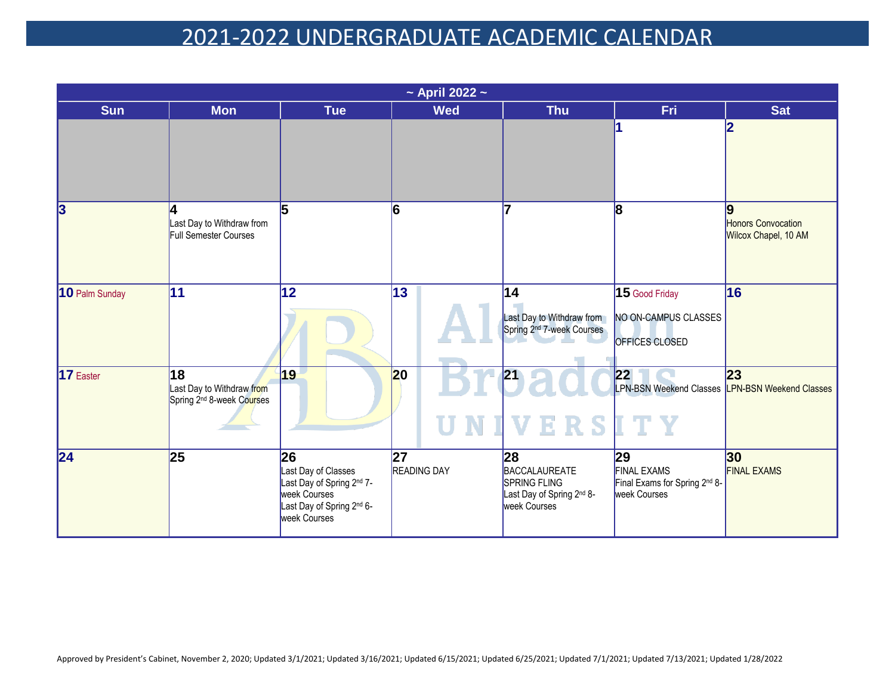|                         | $\sim$ April 2022 $\sim$                                                 |                                                                                                                      |                          |                                                                                                     |                                                                           |                                                 |  |  |  |
|-------------------------|--------------------------------------------------------------------------|----------------------------------------------------------------------------------------------------------------------|--------------------------|-----------------------------------------------------------------------------------------------------|---------------------------------------------------------------------------|-------------------------------------------------|--|--|--|
| <b>Sun</b>              | <b>Mon</b>                                                               | <b>Tue</b>                                                                                                           | <b>Wed</b>               | <b>Thu</b>                                                                                          | <b>Fri</b>                                                                | <b>Sat</b>                                      |  |  |  |
|                         |                                                                          |                                                                                                                      |                          |                                                                                                     |                                                                           |                                                 |  |  |  |
| $\overline{\mathbf{3}}$ | l4<br>Last Day to Withdraw from<br>Full Semester Courses                 | 15                                                                                                                   | 6                        | 7                                                                                                   | 8                                                                         | 9<br>Honors Convocation<br>Wilcox Chapel, 10 AM |  |  |  |
| 10 Palm Sunday          | 11                                                                       | 12                                                                                                                   | 13                       | 14<br>Last Day to Withdraw from<br>Spring 2 <sup>nd</sup> 7-week Courses                            | 15 Good Friday<br>NO ON-CAMPUS CLASSES<br>OFFICES CLOSED                  | 16                                              |  |  |  |
| $17$ Easter             | 18<br>Last Day to Withdraw from<br>Spring 2 <sup>nd</sup> 8-week Courses | 19                                                                                                                   | 20<br>П                  | 21<br>ERSITY<br><b>IIV</b>                                                                          | 22<br>LPN-BSN Weekend Classes <b>LPN-BSN Weekend Classes</b>              | 23                                              |  |  |  |
| $\overline{24}$         | 25                                                                       | 26 <br>Last Day of Classes<br>Last Day of Spring 2nd 7-<br>week Courses<br>Last Day of Spring 2nd 6-<br>week Courses | 27<br><b>READING DAY</b> | 28<br>BACCALAUREATE<br><b>SPRING FLING</b><br>Last Day of Spring 2 <sup>nd</sup> 8-<br>week Courses | 29<br><b>FINAL EXAMS</b><br>Final Exams for Spring 2nd 8-<br>week Courses | 30 <br><b>FINAL EXAMS</b>                       |  |  |  |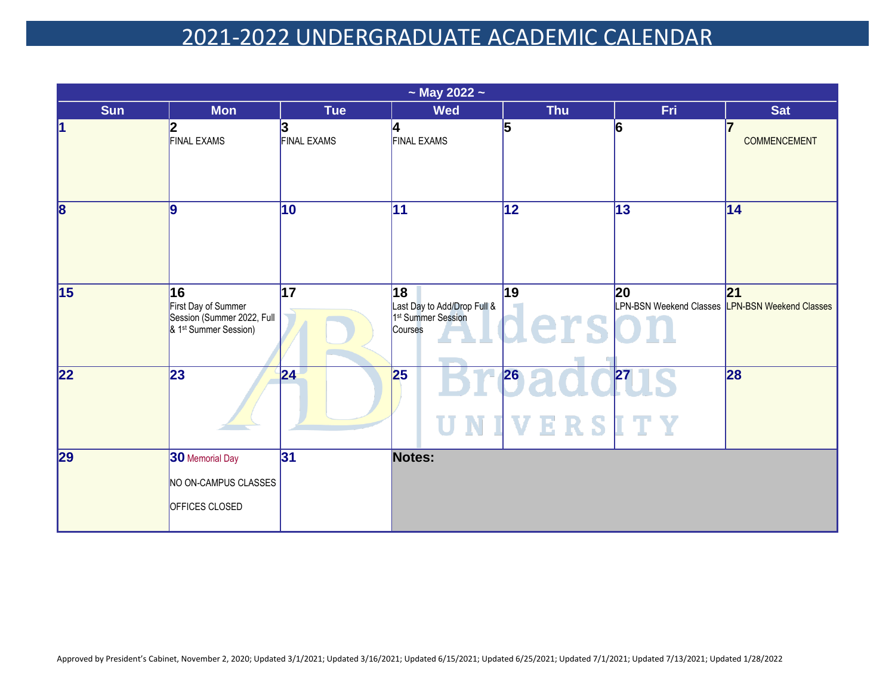|                         | $\sim$ May 2022 $\sim$                                                                       |                    |                                                                                |                        |                                                       |                     |  |  |  |
|-------------------------|----------------------------------------------------------------------------------------------|--------------------|--------------------------------------------------------------------------------|------------------------|-------------------------------------------------------|---------------------|--|--|--|
| <b>Sun</b>              | <b>Mon</b>                                                                                   | Tue                | <b>Wed</b>                                                                     | <b>Thu</b>             | Fri.                                                  | <b>Sat</b>          |  |  |  |
| 1                       | 2<br><b>FINAL EXAMS</b>                                                                      | <b>FINAL EXAMS</b> | 4<br><b>FINAL EXAMS</b>                                                        | 5                      | 6                                                     | <b>COMMENCEMENT</b> |  |  |  |
| $\overline{\mathbf{8}}$ | 9                                                                                            | 10                 | $\overline{11}$                                                                | $\overline{12}$        | 13                                                    | 14                  |  |  |  |
| $\overline{15}$         | 16<br>First Day of Summer<br>Session (Summer 2022, Full<br>& 1 <sup>st</sup> Summer Session) | 17                 | 18<br>Last Day to Add/Drop Full &<br>1 <sup>st</sup> Summer Session<br>Courses | 19<br>lerso            | 20<br>LPN-BSN Weekend Classes LPN-BSN Weekend Classes | 21                  |  |  |  |
| 22                      | $\overline{23}$                                                                              | 24                 | 25                                                                             | 26<br><b>NIVERSITY</b> | 27                                                    | 28                  |  |  |  |
| 29                      | 30 Memorial Day<br>NO ON-CAMPUS CLASSES<br>OFFICES CLOSED                                    | 31                 | Notes:                                                                         |                        |                                                       |                     |  |  |  |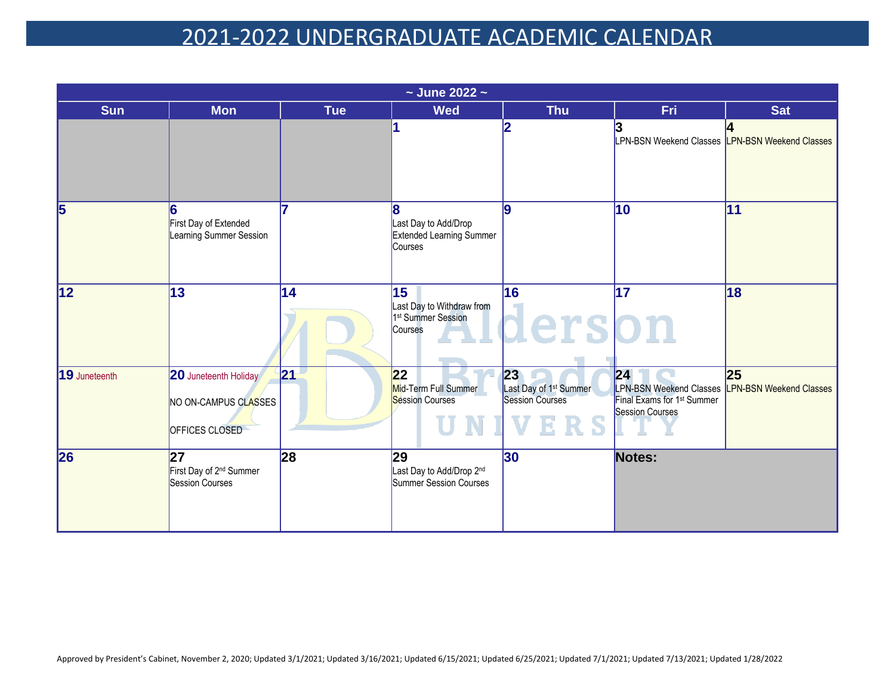| $\sim$ June 2022 $\sim$ |                                                                        |            |                                                                                           |                                                                    |                                                                                                                             |                 |  |  |
|-------------------------|------------------------------------------------------------------------|------------|-------------------------------------------------------------------------------------------|--------------------------------------------------------------------|-----------------------------------------------------------------------------------------------------------------------------|-----------------|--|--|
| <b>Sun</b>              | <b>Mon</b>                                                             | <b>Tue</b> | <b>Wed</b>                                                                                | <b>Thu</b>                                                         | <b>Fri</b>                                                                                                                  | <b>Sat</b>      |  |  |
|                         |                                                                        |            |                                                                                           |                                                                    | LPN-BSN Weekend Classes <b>LPN-BSN Weekend Classes</b>                                                                      |                 |  |  |
| 5                       | 6<br>First Day of Extended<br>Learning Summer Session                  |            | 8<br>Last Day to Add/Drop<br><b>Extended Learning Summer</b><br>Courses                   | 9                                                                  | 10                                                                                                                          | $\overline{11}$ |  |  |
| $\overline{12}$         | $\overline{13}$                                                        | 14         | $\overline{15}$<br>Last Day to Withdraw from<br>1 <sup>st</sup> Summer Session<br>Courses | $\overline{16}$<br>derson                                          | $\overline{17}$                                                                                                             | 18              |  |  |
| 19 Juneteenth           | <b>20</b> Juneteenth Holiday<br>NO ON-CAMPUS CLASSES<br>OFFICES CLOSED | 21         | 22<br>Mid-Term Full Summer<br><b>Session Courses</b>                                      | 23<br>Last Day of 1 <sup>st</sup> Summer<br><b>Session Courses</b> | 24 <br>LPN-BSN Weekend Classes  LPN-BSN Weekend Classes<br>Final Exams for 1 <sup>st</sup> Summer<br><b>Session Courses</b> | 25              |  |  |
| 26                      | 27<br>First Day of 2 <sup>nd</sup> Summer<br><b>Session Courses</b>    | 28         | 29<br>Last Day to Add/Drop 2nd<br>Summer Session Courses                                  | $ 30\rangle$                                                       | Notes:                                                                                                                      |                 |  |  |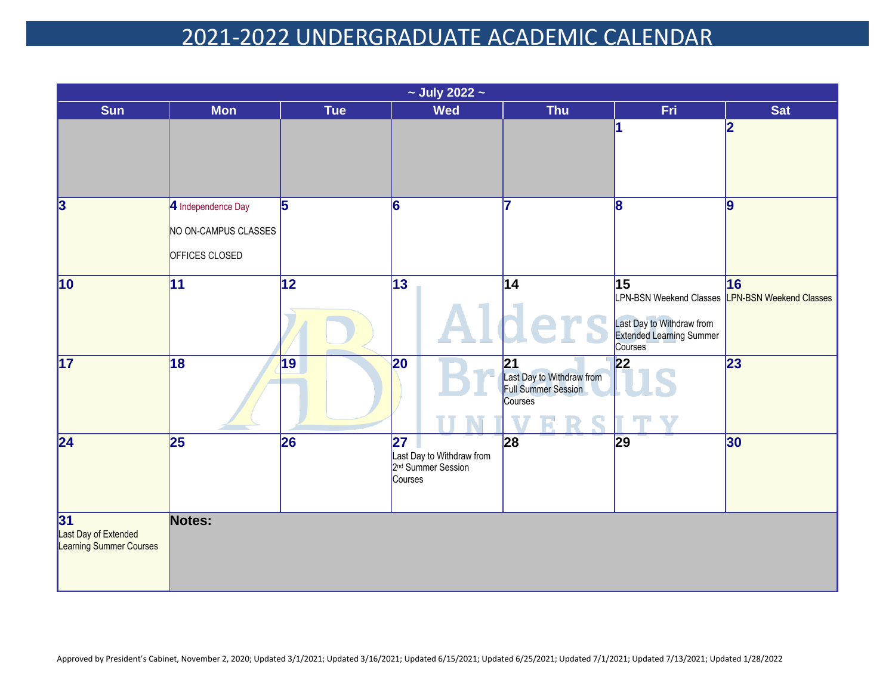| $\sim$ July 2022 $\sim$                               |                                                              |                 |                                                                                                    |                                                                   |                                                                                                                                        |                  |  |  |  |  |  |
|-------------------------------------------------------|--------------------------------------------------------------|-----------------|----------------------------------------------------------------------------------------------------|-------------------------------------------------------------------|----------------------------------------------------------------------------------------------------------------------------------------|------------------|--|--|--|--|--|
| <b>Sun</b>                                            | <b>Mon</b>                                                   | Tue             | <b>Wed</b>                                                                                         | <b>Thu</b>                                                        | Fri.                                                                                                                                   | <b>Sat</b>       |  |  |  |  |  |
|                                                       |                                                              |                 |                                                                                                    |                                                                   | 1                                                                                                                                      | $\bf{2}$         |  |  |  |  |  |
| $\overline{\mathbf{3}}$                               | 4 Independence Day<br>NO ON-CAMPUS CLASSES<br>OFFICES CLOSED | 5               | 6                                                                                                  |                                                                   | 8                                                                                                                                      | $\boldsymbol{9}$ |  |  |  |  |  |
| $\overline{10}$                                       | $\overline{11}$                                              | $\overline{12}$ | $\overline{13}$                                                                                    | $\overline{14}$                                                   | $\overline{15}$<br>LPN-BSN Weekend Classes LPN-BSN Weekend Classes<br>Last Day to Withdraw from<br>Extended Learning Summer<br>Courses | $\overline{16}$  |  |  |  |  |  |
| $\overline{17}$                                       | 18                                                           | 19              | 20                                                                                                 | 21<br>Last Day to Withdraw from<br>Full Summer Session<br>Courses | 22                                                                                                                                     | 23               |  |  |  |  |  |
| $\overline{24}$                                       | $\overline{25}$                                              | 26              | $\overline{\mathbf{27}}$<br>Last Day to Withdraw from<br>2 <sup>nd</sup> Summer Session<br>Courses | 28                                                                | 29                                                                                                                                     | 30               |  |  |  |  |  |
| 31<br>Last Day of Extended<br>Learning Summer Courses | Notes:                                                       |                 |                                                                                                    |                                                                   |                                                                                                                                        |                  |  |  |  |  |  |